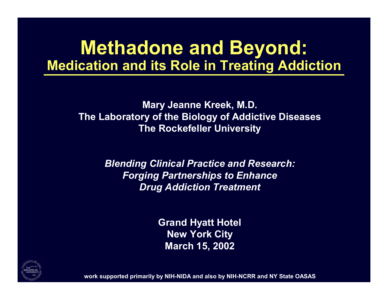# **Methadone and Beyond: Medication and its Role in Treating Addiction**

**Mary Jeanne Kreek, M.D. The Labora tory o f the Biology of Addicti ve Diseases The Rockefeller Uni v e rsity**

> *Blending Clinical Pra ctic e and Research: Forging Partnerships to Enhance Drug Addic tion Treatmen t*

> > **Grand Hy a tt Hotel New York City March 15, 2002**



work supported primarily by NIH-NIDA and also by NIH-NCRR and NY State OASAS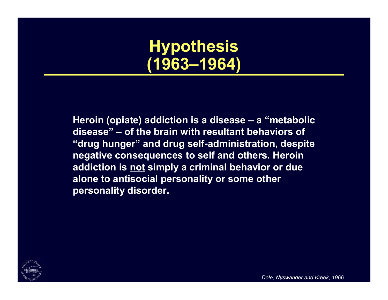**Hypothesis (1963–1964)**

**Heroin (opiate) addiction is a disease – <sup>a</sup> "metabolic disease" – of the brain with resultant behaviors of "drug hunger" and drug self-administration, despite negative consequences to self and others. Heroin addiction is not simply a criminal behavior or due alone to antisocial personality or some other personality disorder.**



*Dole, Nyswander and Kreek, 1966*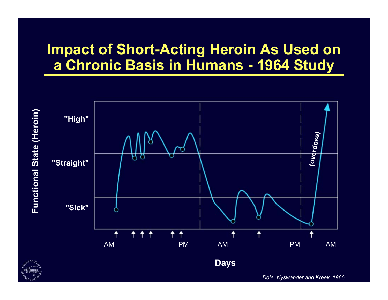### **Impact of Short-Acting Heroin As Used on a Chronic Basis in Humans - 1964 Study**



*Dole, Nyswander and Kreek, 1966*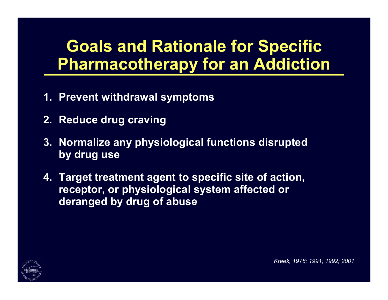# **Goals and Rationale for Specific Pharmacotherapy f o r an Addiction**

- **1. Prevent withdra wal symptoms**
- **2. Reduce dru g cravin g**
- **3. Normalize any p h y siological functions disru pte d by dru g us e**
- **4. Target treatment agent to specific site o f acti on, receptor, or physiolo gical system affec ted or deranged b y drug of abuse**



*Kreek, 1978; 1991; 1992; 2001*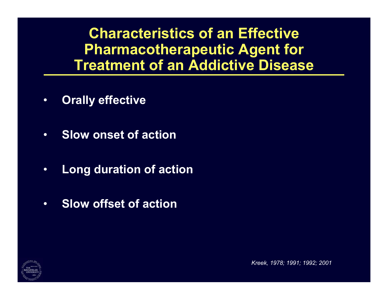**Characteristics of an EffectivePharmacotherapeutic Agent for Treatment o f an Addictive Disease**

- •**Orally effective**
- •**Slow onset of action**
- •**Long duration of action**
- •**Slow offset of action**



*Kree k, 1978; 1991; 1992; 2001*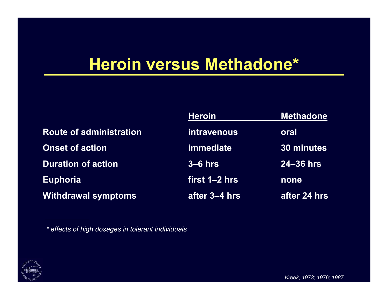## **Heroin versus Methadone\***

|                                | <b>Heroin</b> | <b>Methadone</b> |  |
|--------------------------------|---------------|------------------|--|
| <b>Route of administration</b> | intravenous   | oral             |  |
| <b>Onset of action</b>         | immediate     | 30 minutes       |  |
| <b>Duration of action</b>      | $3-6$ hrs     | $24 - 36$ hrs    |  |
| <b>Euphoria</b>                | first 1-2 hrs | none             |  |
| <b>Withdrawal symptoms</b>     | after 3-4 hrs | after 24 hrs     |  |



*<sup>\*</sup> effe cts o f high dosages in tol e ra nt individuals*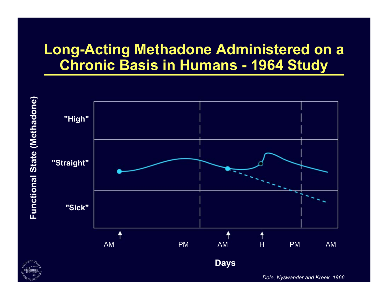### **Long-Acting Methadone Administered on a Chronic Basis in Humans - 1964 Study**





*Dole, Nyswander and Kreek, 1966*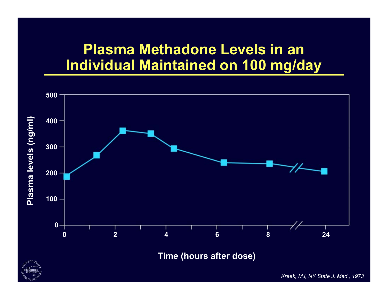### **Plasma Methadone Levels in an Individual Maintained o n 100 mg/day**



**Time (hours after dos e)**



*Kreek, MJ, NY St ate J. Med., 1973*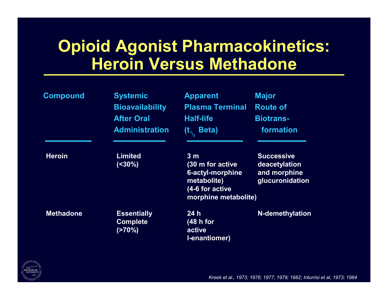## **Opioid Agonist Pharmacokinetics: Heroin Versus Methadone**

| <b>Compound</b>  | <b>Systemic</b><br><b>Bioavailability</b><br><b>After Oral</b><br><b>Administration</b> | <b>Apparent</b><br><b>Plasma Terminal</b><br><b>Half-life</b><br>$(t_{\eta_2}$ Beta)                             | <b>Major</b><br><b>Route of</b><br><b>Biotrans-</b><br>formation      |
|------------------|-----------------------------------------------------------------------------------------|------------------------------------------------------------------------------------------------------------------|-----------------------------------------------------------------------|
| <b>Heroin</b>    | <b>Limited</b><br>$(<30\%)$                                                             | 3 <sub>m</sub><br>(30 m for active<br>6-actyl-morphine<br>metabolite)<br>(4-6 for active<br>morphine metabolite) | <b>Successive</b><br>deacetylation<br>and morphine<br>glucuronidation |
| <b>Methadone</b> | <b>Essentially</b><br><b>Complete</b><br>(270%)                                         | 24h<br>(48 h for<br>active<br><b>I-enantiomer)</b>                                                               | <b>N-demethylation</b>                                                |



*Kreek et al., 1973; 1976; 1977; 1979; 1982; Inturrisi et al, 1973; 1984*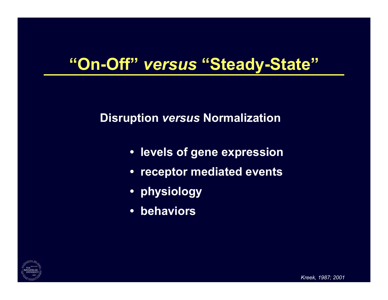# **"On-Off"** *versus* **"Steady-State"**

### **Disruption** *versus* **Normalization**

- **• levels of gene expression**
- **• receptor mediated events**
- **• physiology**
- **•behaviors**

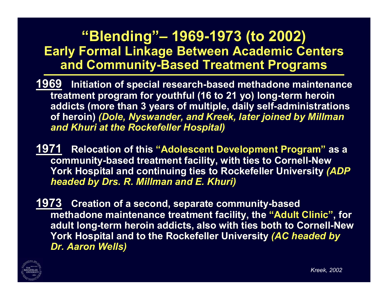### **"Blending" "Blending"– 1969-1973 (to 1973 (to 2002) Early Formal Linkage Between Academic Centers and Com and Community-Based Treatment Pr Based Treatment Programs**

- **1969Initiation of special research-based methadone maintenance treatment program for youthful (16 to 21 yo) long-term heroin addicts (more than 3 years of multiple, daily self-administrations of heroin)** *(Dole, Nyswander, and Kreek, later joined by Millman and Khuri at the Rockefeller Hospital)*
- **1971** Relocation of this "Adolescent Development Program" as a **communit community-based tre based treatment fa tment facility, with ties to Cornell to Cornell-New York Hospital and continuing ties to Rockefeller University** *(ADP headed by Drs. R. headed by Drs. R. Millman Millman and E. Khuri)*
- **1973** Creation of a second, separate community-based **methadone methadone maintenance maintenance treatment facility, the "Adult Clinic Adult Clinic", for adult long-term heroin addicts, also with ties both to Cornell-New** York Hospital and to the Rockefeller University *(AC headed by Dr. Aaron Wells)*

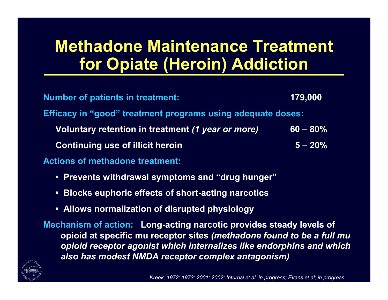# **Methadone Maintenance Treatment for Opiate (Heroin) Addiction**

| <b>Number of patients in treatment:</b>                     | 179,000     |  |
|-------------------------------------------------------------|-------------|--|
| Efficacy in "good" treatment programs using adequate doses: |             |  |
| Voluntary retention in treatment (1 year or more)           | $60 - 80\%$ |  |
| <b>Continuing use of illicit heroin</b>                     | $5 - 20\%$  |  |
| <b>Actions of methadone treatment:</b>                      |             |  |

- **• Pre v ents withdra w al s y mptoms and " drug hunger"**
- **•Blocks euphoric effects of short-acting narcotics**
- **•Allo w s n ormaliza tion o f dis rupte d ph y siology**

**Mechanism of action: Long-acting narcotic provides steady levels of o pioid at specific mu receptor sites** *(me thadone found to be a full mu opioid receptor agonist which internalize s like endorphins and which a ls o ha s mode s t NMDA receptor c omplex a ntagonis m)*

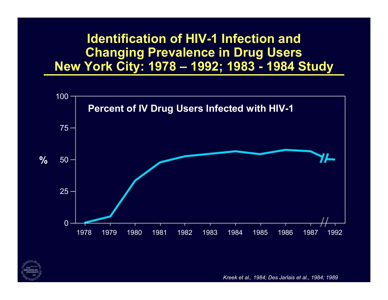### **Identification of HIV-1 Infection andChanging Prevalence in Drug Users New York City: 1978 – 1992; 1983 - 1984 Study**





*Kreek et al., 1984; Des Jarlais et al., 1984; 1989*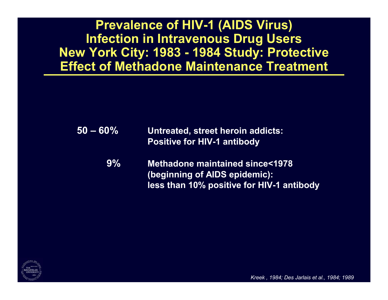**Prevalence of HIV-1 (AIDS Virus) Infection in Intravenous Drug Users New York City: 1983 - 1984 Study: Protective Effect of Met hadone Maintenance Treatment**

- **50 – 60% Untreated, street h eroin addicts: Positiv e for HIV-1 a ntibody**
	- **9% Methadone maintained since<1978 (beginning of AIDS epidemi c):** less than 10% positive for HIV-1 antibody



*Kreek , 1984; Des Jarlais et al., 1984; 1989*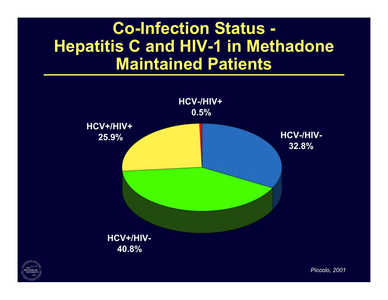## **Co-Infection Status - Hepatitis C and HIV-1 in Methadone Maintained Patients**





*Piccolo, 2 0 01*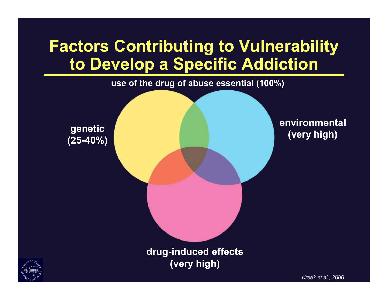# **Factors Contributing to Vulnerability to Develop a Specific Addicti o n**



**drug-induce d effects (very high)**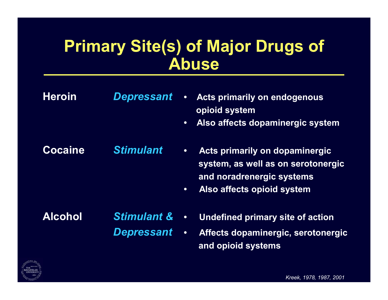## **Primary Site(s) of M aj or Drugs of Abuse**

- **Heroin***Depressant* **•** cts primarily on endogenous **o pioid system**
	- **Also affects dopaminergic system**

**CocaineStimulant** • **cts prima rily on dopaminergic**

- **syste m, as w ell as on sero t o n ergic and n o radren ergic s yst e m s**
- **Also affects o pioid s y ste m**

**Alcohol** *Stimulant &***&** • Undefined primary site of action *Depressant* •

**c t s dopaminergic, s e rotonergic and o pioid system s**



*Kreek, 1978, 1987, 2001*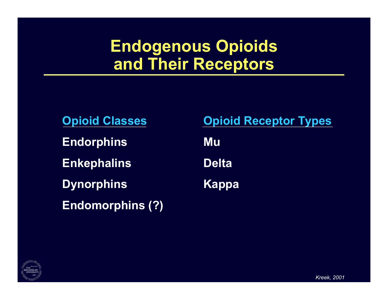# **Endogenous Opioids and Their Receptors**

| <b>Opioid Classes</b>   |    |
|-------------------------|----|
| <b>Endorphins</b>       | Mu |
| <b>Enkephalins</b>      | De |
| <b>Dynorphins</b>       | Ka |
| <b>Endomorphins (?)</b> |    |

**Opioid Receptor Types**

**Delta**

**Dynorphins Kappa**

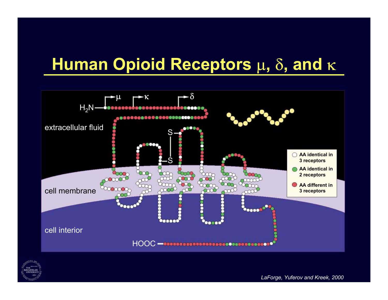# **Human Opioid Receptors μ, δ, and κ**





*LaForge, Yuferov and Kreek, 2000*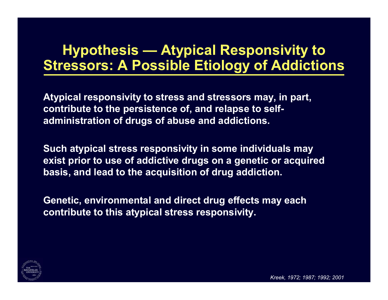### **Hypothesis — Atypical Responsivity to Stressors: A Possible Etiology of Addictions**

**Atypical responsivity to stress and stressors may, in part, contribute to the persistence of, and relapse to selfadministration of drugs of abuse and addictions.**

**Such atypical stress responsivity in some individuals may exist prior to use of addictive drugs on a genetic or acquired basis, and lead to the acquisition of drug addiction.**

**Genetic, environmental and direct drug effects may each contribute to this atypical stress responsivity.**



*Kreek, 1972; 1987; 1992; 2001*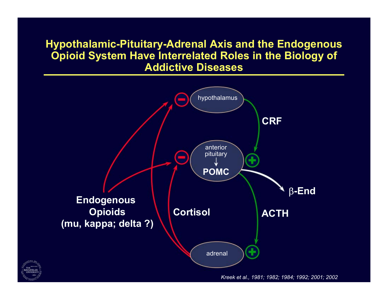### **Hypothalamic-Pituitary-Adrenal Axis and the Endogenous Opioid System Have Interrelated Roles in the Biology of Addictive Diseases**



*Kreek et al., 1981; 1982; 1984; 1992; 2001; 2002*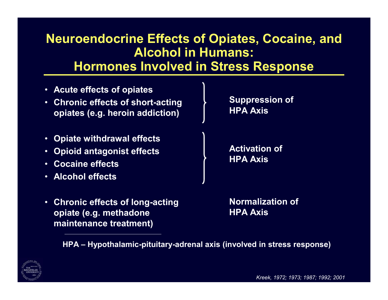### **Neuroendocrine Effects of Opiates, Cocaine, and Alcohol in Humans: Hormones Involved in Stress Response**

- •**Acute effects of opiates**
- • **Chronic effects of short-acting opiates (e.g. heroin addiction)**
- •**Opiate withdrawal effects**
- •**Opioid antagonist effects**
- •**Cocaine effects**
- •**Alcohol effects**

**Suppression of HPA Axis**

**Activation of HPA Axis**

• **Chronic effects of long-acting opiate (e.g. methadone maintenance treatment)**

**Normalization of HPA Axis**

**HPA – Hypothalamic-pituitary-adrenal axis (involved in stress response)**



*Kreek, 1972; 1973; 1987; 1992; 2001*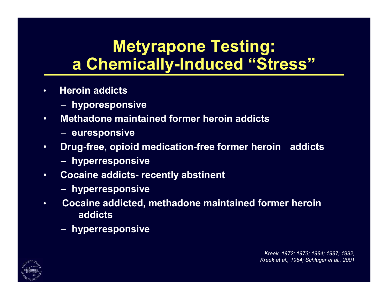# **Metyrapone Testing: a Chemically-Induced "Stress"**

- • **Heroin addicts**
	- **hyporesponsive**
- • **Methadone maintained former heroin addicts**
	- $\sim$ **euresponsive**
- • **Drug-free, opioid medication-free former heroin addicts**
	- $\mathcal{L}_{\mathcal{A}}$ **hyperresponsive**
- • **Cocaine addicts- recently abstinent**
	- –**hyperresponsive**
- • **Cocaine addicted, methadone maintained former heroin addicts**
	- $\mathcal{L}_{\mathcal{A}}$ **hyperresponsive**



*Kreek, 1972; 1973; 1984; 1987; 1992; Kreek et al., 1984; Schluger et al., 2001*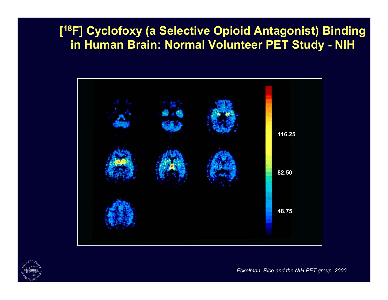### **[18F] Cyclofoxy (a Selective Opioid Antagonist) Binding in Human Brain: Normal Volunteer PET Study - NIH**





*Eckelman, Rice and the NIH PET group, 2000*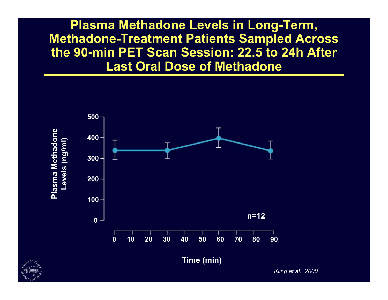**Plasma Methadone Levels in Long-Term, Methadone-Treatment Patients Sampled Across the 90-min PET Scan Session: 22.5 to 24h After Last Oral Dose of Methadone**





*Kling et al., 2000*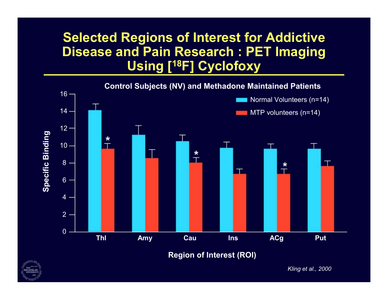### **Selected Regions of Interest for Addictive Disease and Pain Research : PET Imaging Using [18F] Cyclofoxy**





*Kling et al., 2 000*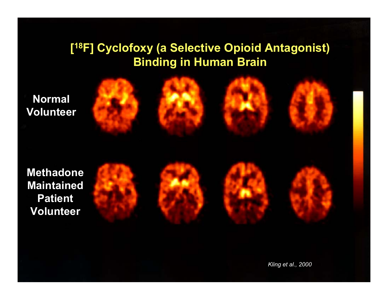### **[18F] Cyclofoxy (a Selective Opioid Antagonist) Binding in Human Brain**









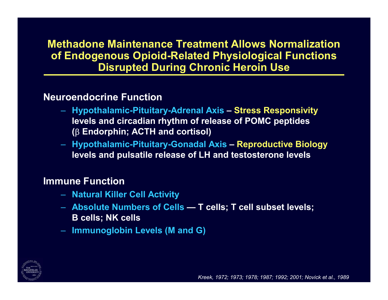### **Methadone Maintenance Treatment Allows Normalization of Endogenous Opioid-Related Physiological Functions Disrupted During Chronic Heroin Use**

### **Neuroendocrine Function**

- **Hypothalamic-Pituitary-Adrenal Axis – Stress Responsivity levels and circadian rhythm of release of POMC peptides ( Endorphin; ACTH and cortisol)**
- **Hypothalamic-Pituitary-Gonadal Axis – Reproductive Biology levels and pulsatile release of LH and testosterone levels**

#### **Immune Function**

- **Natural Killer Cell Activity**
- **Absolute Numbers of Cells — T cells; T cell subset levels; B cells; NK cells**
- **Immunoglobin Levels (M and G)**



*Kreek, 1972; 1973; 1978; 1987; 1992; 2001; Novick et al., 1989*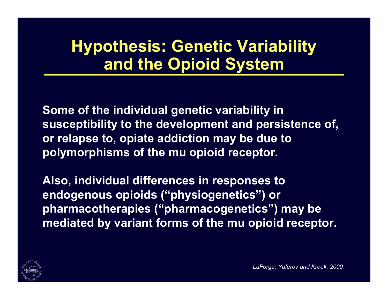# **Hypothesis: Genetic Variability and the Opioid System**

**Some of the individual genetic variability in susceptibility to the development and persistence of, or relapse to, opiate addiction may be due to polymorphisms of the mu opioid receptor.**

**Also, individual differences in responses to endogenous opioids ("physiogenetics") or pharmacotherapies ("pharmacogenetics") may be mediated by variant forms of the mu opioid receptor.** 



*LaForge, Yuferov and Kreek, 2000*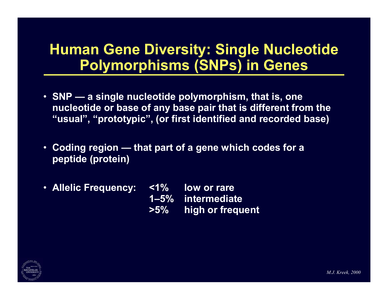### **Human Gene Diversity: Single Nucleotid e Pol ymorphisms (SNPs) in Genes**

- **SNP — a single nucleoti de pol y morphism, that is, one nucleotide o r base of an y base pair that i s differe nt from the "usual", "pr ototypic ", (or first identified and recor ded base )**
- **Coding region — t h at p art o f a gene w hich cod e s for a peptide (protein)**
- **Allelic Frequency: <sup>&</sup>lt; 1 % low or rare 1–5% intermediate >5%high or frequent**

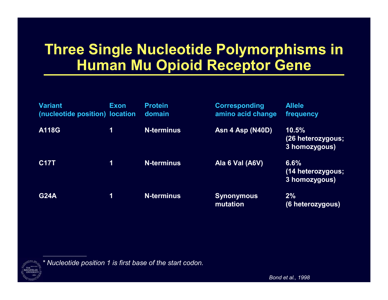### **Three Single Nucleotide Polymorphisms in Human Mu Opioid Receptor Gene**

| <b>Variant</b><br>(nucleotide position) location | Exon | <b>Protein</b><br>domain | <b>Corresponding</b><br>amino acid change | <b>Allele</b><br>frequency                  |
|--------------------------------------------------|------|--------------------------|-------------------------------------------|---------------------------------------------|
| A118G                                            | 1    | <b>N-terminus</b>        | <b>Asn 4 Asp (N40D)</b>                   | 10.5%<br>(26 heterozygous;<br>3 homozygous) |
| <b>C17T</b>                                      | 1    | <b>N-terminus</b>        | Ala 6 Val (A6V)                           | 6.6%<br>(14 heterozygous;<br>3 homozygous)  |
| <b>G24A</b>                                      | 1    | <b>N-terminus</b>        | <b>Synonymous</b><br>mutation             | $2\%$<br>(6 heterozygous)                   |

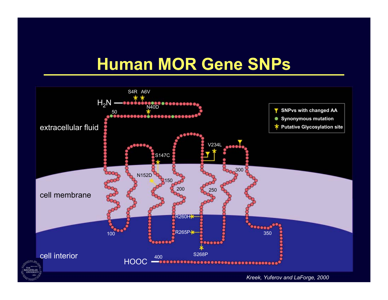# **Human MOR Gene SNPs**



*Kreek, Yufero v and LaForge, 2000*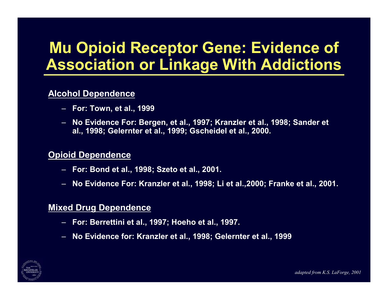## **Mu Opioid Receptor Gene: Evidence of Association or Linkage With Addictions**

#### **Alcohol Dependence**

- **For: Town, et al., 1999**
- **No Evidence For: Bergen, et al., 1997; Kranzler et al., 1998; Sander et al., 1998; Gelernter et al., 1999; Gscheidel et al., 2000.**

#### **Opioid Dependence**

- **For: Bond et al., 1998; Szeto et al., 2001.**
- **No Evidence For: Kranzler et al., 1998; Li et al.,2000; Franke et al., 2001.**

#### **Mixed Drug Dependence**

- –**For: Berrettini et al., 1997; Hoeho et al., 1997.**
- –**No Evidence for: Kranzler et al., 1998; Gelernter et al., 1999**

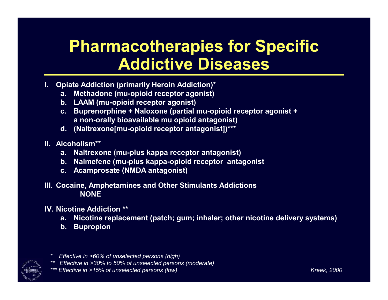## **Pharmacotherapies for Specific Addictive Diseases**

- **I. Opiate Addic tion (primarily Heroin A d diction)\***
	- **a.Methadone (mu-opioid receptor agonist)**
	- **b. L AA M (mu-o pioid receptor ag o nist)**
	- **c. Bupr enorphine + Naloxone (p a rtial mu-o pioid r e c eptor agonist + a non-orall y bioa v aila ble mu opioid ant agonist)**
	- **d. (Naltrexone[mu-opioi d receptor antagonist])\*\*\***
- **II. Alcoholism\*\***
	- **a.Naltrexone (mu-plus kappa receptor ant agonist)**
	- **b. Nalmefene (mu-plus kappa-opioid receptor ant agonist**
	- **c. Acamprosate (NMDA antagonist)**

#### **III. Cocaine, A mphetamine sand Other Stimulant s AddictionsNONE**

#### **IV. Nicotine Addiction \*\***

- a. Nicotine replacement (patch; gum; inhaler; other nicotine delivery systems)
- **b.Bupropion**

*<sup>\*\*\*</sup> Effective in >15% of unselect ed p ersons (lo*



*<sup>\*</sup> Effecti ve in > 60% of unselect ed p e rs o ns (high)*

*<sup>\*\*</sup> Effe ctive in >30% t o 50% of unsele cted person s (mode rate)*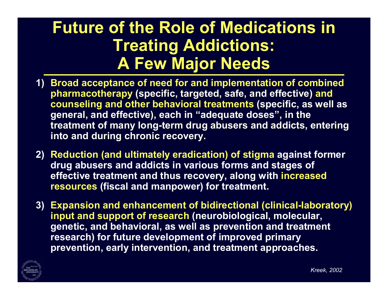## **Future of the Role of Medications in Treating Addictions: A Few Major Needs A Few Major Needs**

- **1) Broad acceptance of need for and implementation of combined pharmaco pharmacotherap y (specific, targe ted, safe, and fe, and e ffective) and**   $\bf{c}$  counseling and other behavioral treatments (specific, as well as **general, general, and effective), each in "adequate do uate doses ", in the in the treatment o f m any long -term drug term drug abusers and addicts, entering**  into and during chronic recovery.
- **2) Reduction (and ultimatel y eradication) o f s tigma against former**  drug abusers and addicts in various forms and stages of **effec tive tr e atment and thus recov ery, along with increased resources (fiscal and manpo w e r ) for treatment.**
- 3) Expansion and enhancement of bidirectional (clinical-laboratory) **input and support o f research (neurobiological, molecular, genetic, and behavioral, as w ell a s pre vention and treatment**  research) for future development of improved primary **prevention, early intervention, and treatm ent app roaches.**